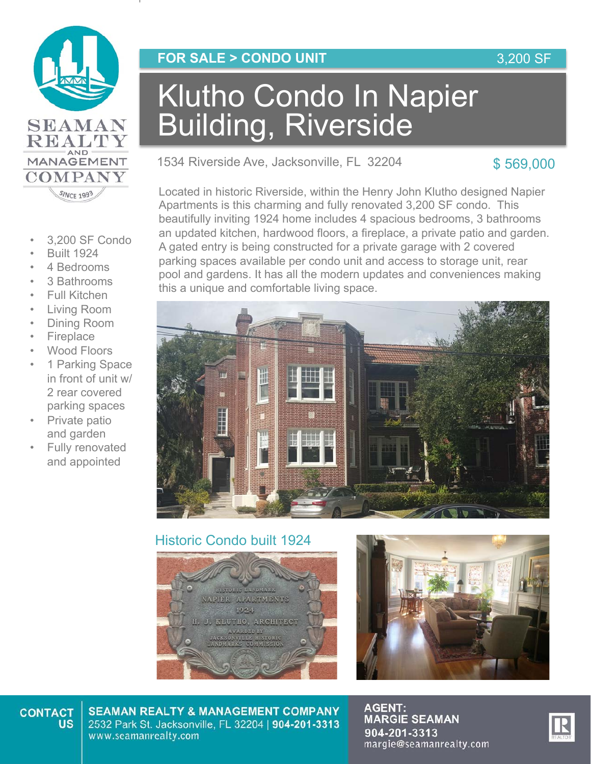

- 3,200 SF Condo
- Built 1924
- 4 Bedrooms
- 3 Bathrooms
- Full Kitchen
- Living Room
- Dining Room
- **Fireplace**
- Wood Floors
- 1 Parking Space in front of unit w/ 2 rear covered parking spaces
- Private patio and garden
- Fully renovated and appointed

### **FOR SALE > CONDO UNIT**

# Klutho Condo In Napier Building, Riverside

1534 Riverside Ave, Jacksonville, FL 32204

### \$ 569,000

Located in historic Riverside, within the Henry John Klutho designed Napier Apartments is this charming and fully renovated 3,200 SF condo. This beautifully inviting 1924 home includes 4 spacious bedrooms, 3 bathrooms an updated kitchen, hardwood floors, a fireplace, a private patio and garden. A gated entry is being constructed for a private garage with 2 covered parking spaces available per condo unit and access to storage unit, rear pool and gardens. It has all the modern updates and conveniences making this a unique and comfortable living space.



### Historic Condo built 1924





#### **CONTACT US**

**SEAMAN REALTY & MANAGEMENT COMPANY** 2532 Park St. Jacksonville, FL 32204 | 904-201-3313 www.seamanrealty.com

**AGENT: MARGIE SEAMAN** 904-201-3313 margie@seamanrealty.com



### 3,200 SF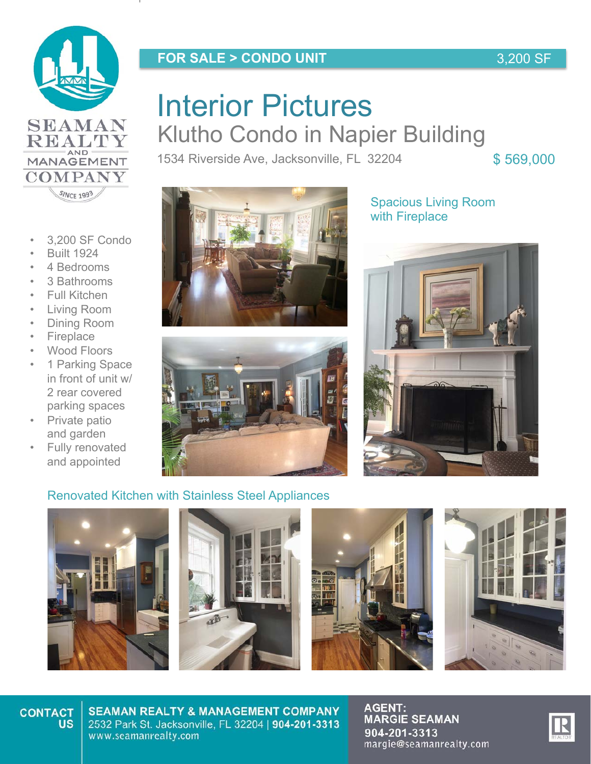

REALTY MANAGEMENT

**COMPANY** SINCE 1993

• 3,200 SF Condo

• Built 1924 4 Bedrooms • 3 Bathrooms Full Kitchen • Living Room • Dining Room **Fireplace** Wood Floors 1 Parking Space in front of unit w/ 2 rear covered parking spaces • Private patio and garden Fully renovated and appointed

### **FOR SALE > CONDO UNIT**

### 3,200 SF

# **Interior Pictures HILCHOF FICLUTCO**<br>Klutho Condo in Napier Building Interior Pictures

1534 Riverside Ave, Jacksonville, FL 32204 \$569,000





Spacious Living Room with Fireplace



### Renovated Kitchen with Stainless Steel Appliances









#### **CONTACT US**

**SEAMAN REALTY & MANAGEMENT COMPANY** 2532 Park St. Jacksonville, FL 32204 | 904-201-3313 www.seamanrealty.com

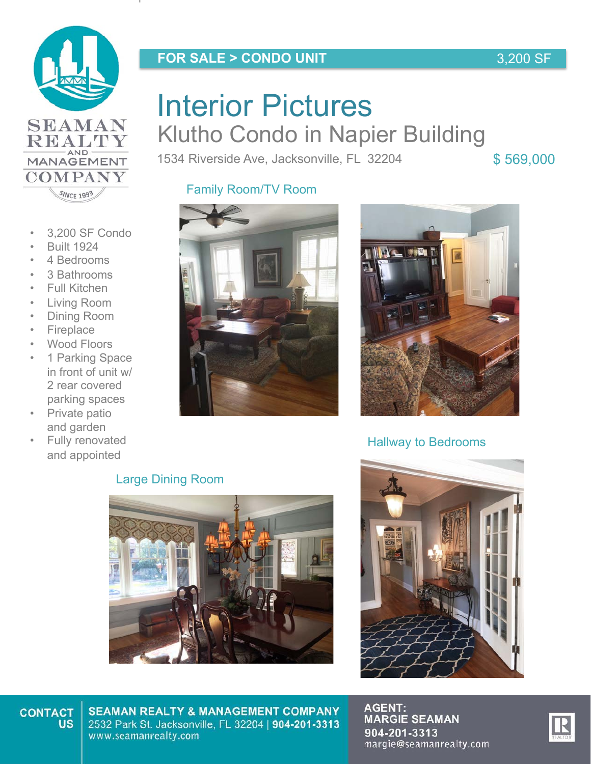

REALTY MANAGEMENT

**COMPANY** SINCE 1993

### **FOR SALE > CONDO UNIT**

# **Interior Pictures HILCHOF FICLUTCO**<br>Klutho Condo in Napier Building Interior Pictures

1534 Riverside Ave, Jacksonville, FL 32204 \$569,000

3,200 SF

## Family Room/TV Room



- Built 1924
- 4 Bedrooms
- 3 Bathrooms
- Full Kitchen
- Living Room
- Dining Room
- **Fireplace**
- Wood Floors
- 1 Parking Space in front of unit w/ 2 rear covered parking spaces
- **Private patio** and garden
- **Fully renovated** and appointed



![](_page_2_Picture_19.jpeg)

### Hallway to Bedrooms

### Large Dining Room

![](_page_2_Picture_22.jpeg)

![](_page_2_Picture_23.jpeg)

#### **CONTACT US**

**SEAMAN REALTY & MANAGEMENT COMPANY** 2532 Park St. Jacksonville, FL 32204 | 904-201-3313 www.seamanrealty.com

![](_page_2_Picture_27.jpeg)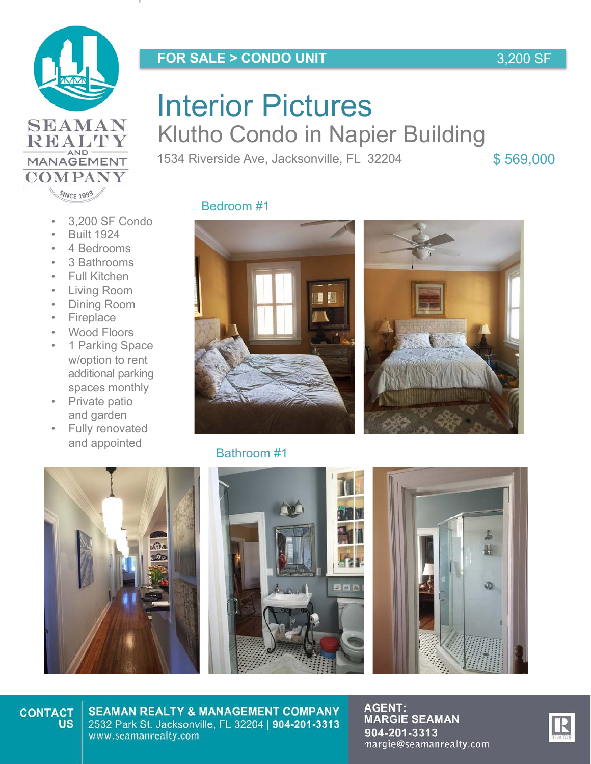![](_page_3_Picture_0.jpeg)

REALTY MANAGEMENT

**COMPANY** SINCE 1993

### **FOR SALE > CONDO UNIT**

### 3,200 SF

# **Interior Pictures HILCHOF FICLUTCO**<br>Klutho Condo in Napier Building Interior Pictures

1534 Riverside Ave, Jacksonville, FL 32204 \$569,000

- 3,200 SF Condo
- Built 1924
- 4 Bedrooms
- 3 Bathrooms
- Full Kitchen
- Living Room
- Dining Room
- Fireplace
- Wood Floors
- 1 Parking Space w/option to rent additional parking spaces monthly
- Private patio and garden
- Fully renovated and appointed

![](_page_3_Picture_18.jpeg)

![](_page_3_Picture_19.jpeg)

![](_page_3_Picture_20.jpeg)

### Bathroom #1

![](_page_3_Picture_22.jpeg)

![](_page_3_Picture_23.jpeg)

#### **CONTACT US**

**SEAMAN REALTY & MANAGEMENT COMPANY** 2532 Park St. Jacksonville, FL 32204 | 904-201-3313 www.seamanrealty.com

![](_page_3_Picture_27.jpeg)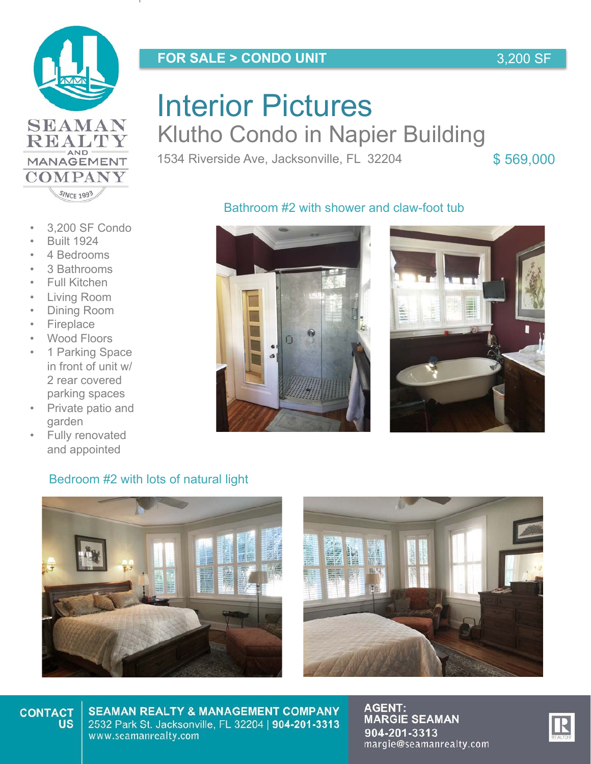![](_page_4_Picture_0.jpeg)

### **FOR SALE > CONDO UNIT**

3,200 SF

## **SEAMAN REALTY** MANAGEMENT **COMPANY** SINCE 1993

# **Interior Pictures HILCHOF FICLUTCO**<br>Klutho Condo in Napier Building Interior Pictures

1534 Riverside Ave, Jacksonville, FL 32204 \$569,000

### • 3,200 SF Condo

- Built 1924
- 4 Bedrooms
- 3 Bathrooms
- Full Kitchen
- Living Room
- Dining Room
- Fireplace
- Wood Floors
- 1 Parking Space in front of unit w/ 2 rear covered parking spaces
- Private patio and garden
- Fully renovated and appointed

![](_page_4_Picture_19.jpeg)

![](_page_4_Picture_20.jpeg)

### Bedroom #2 with lots of natural light

![](_page_4_Picture_22.jpeg)

![](_page_4_Picture_23.jpeg)

#### **CONTACT US**

**SEAMAN REALTY & MANAGEMENT COMPANY** 2532 Park St. Jacksonville, FL 32204 | 904-201-3313 www.seamanrealty.com

![](_page_4_Picture_27.jpeg)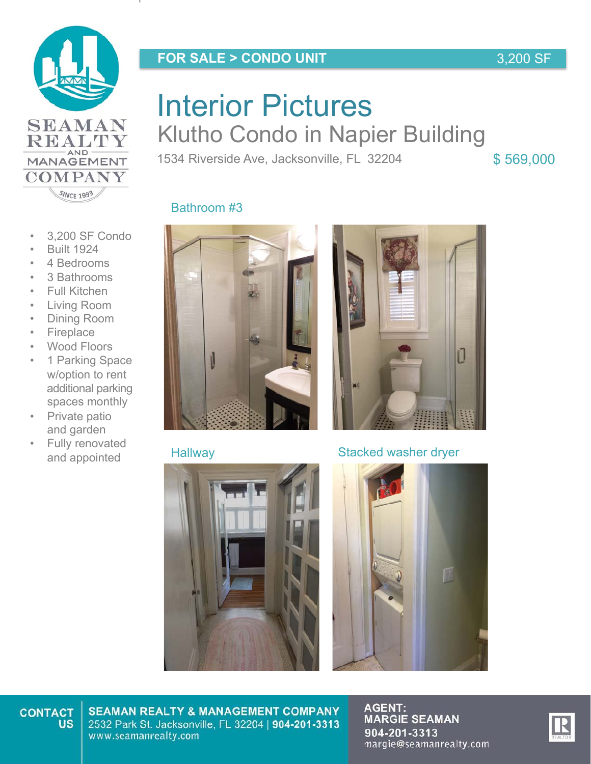![](_page_5_Picture_0.jpeg)

### **FOR SALE > CONDO UNIT**

### 3,200 SF

## **SEAMAN** REALTY MANAGEMENT **COMPANY** SINCE 1993

# **Interior Pictures HILCHOF FICLUTCO**<br>Klutho Condo in Napier Building Interior Pictures

1534 Riverside Ave, Jacksonville, FL 32204 \$569,000

- 3,200 SF Condo
- Built 1924
- 4 Bedrooms
- 3 Bathrooms
- Full Kitchen
- Living Room
- Dining Room
- Fireplace
- Wood Floors
- 1 Parking Space w/option to rent additional parking spaces monthly
- Private patio and garden
- Fully renovated and appointed

![](_page_5_Picture_19.jpeg)

![](_page_5_Picture_20.jpeg)

![](_page_5_Picture_22.jpeg)

![](_page_5_Picture_23.jpeg)

### Hallway Stacked washer dryer

![](_page_5_Picture_25.jpeg)

#### **CONTACT US**

**SEAMAN REALTY & MANAGEMENT COMPANY** 2532 Park St. Jacksonville, FL 32204 | 904-201-3313 www.seamanrealty.com

![](_page_5_Picture_29.jpeg)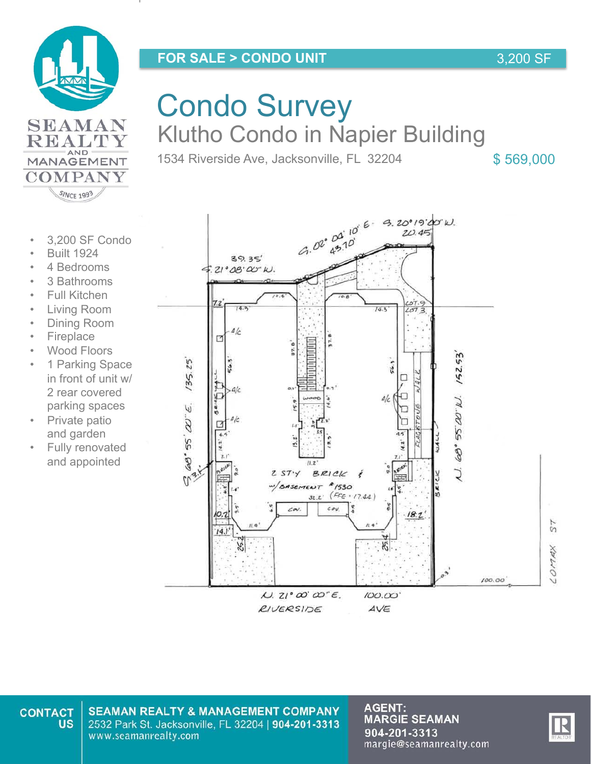![](_page_6_Picture_0.jpeg)

![](_page_6_Picture_1.jpeg)

**COMPANY** SINCE 1993

# Condo Survey Klutho Condo in Napier Building

1534 Riverside Ave, Jacksonville, FL 32204 \$569,000

- 3,200 SF Condo
- Built 1924
- 4 Bedrooms
- 3 Bathrooms
- **Full Kitchen**
- Living Room
- Dining Room
- **Fireplace**
- Wood Floors
- 1 Parking Space in front of unit w/ 2 rear covered parking spaces
- Private patio and garden
- Fully renovated and appointed

 $100.00$ 

 $57$ 

COMMX

### $6.02^{0.00^{0.6}6}$  3.20019200 W.  $39.35'$  $21°08'00"k$ .  $14.3$  $14.3$  $1,57$  $4/c$  $\Box$  $152.53$  $135.25$  $56.3$ 54 П  $4/c$ п  $U.68°55'00"W.$  $\Delta/c$ 60°55' W"E. □  $2STY$ BRICK  $0^{3}$ BASEMENT #1530  $32.2$  (FFE: 17.44) cov.  $\epsilon$ o  $18.2$  $14.1$ Æ.

 $\mu$  zi'  $\omega$   $\omega$   $\epsilon$ . RIVERSIDE

 $100.00'$ 

AVE

**SEAMAN REALTY & MANAGEMENT COMPANY** 2532 Park St. Jacksonville, FL 32204 | 904-201-3313 www.seamanrealty.com

**AGENT:<br>MARGIE SEAMAN** 904-201-3313 margie@seamanrealty.com

![](_page_6_Picture_23.jpeg)

3,200 SF

**CONTACT US**